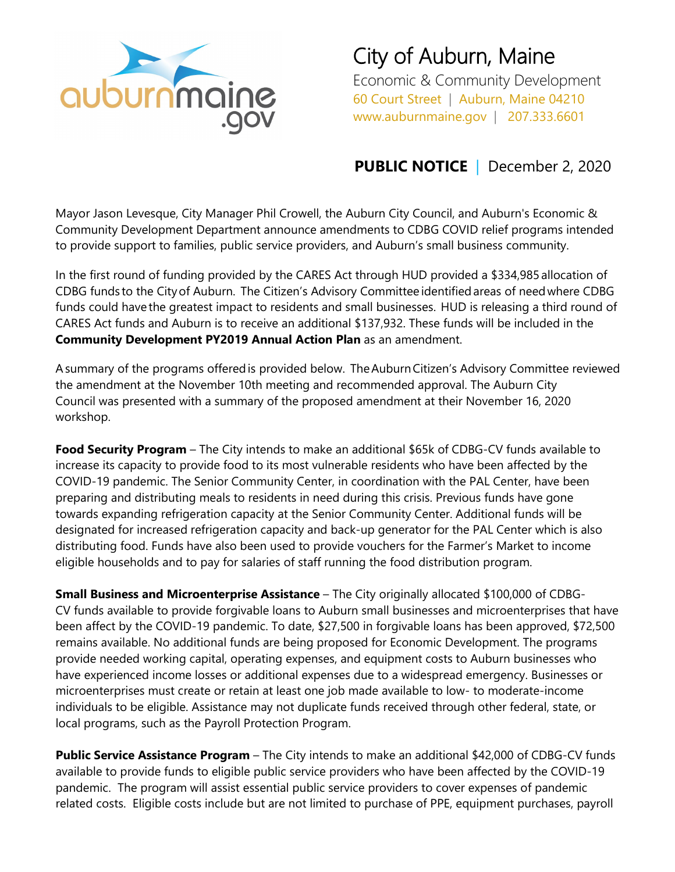

City of Auburn, Maine

Economic & Community Development 60 Court Street | Auburn, Maine 04210 www.auburnmaine.gov | 207.333.6601

## **PUBLIC NOTICE** | December 2, 2020

Mayor Jason Levesque, City Manager Phil Crowell, the Auburn City Council, and Auburn's Economic & Community Development Department announce amendments to CDBG COVID relief programs intended to provide support to families, public service providers, and Auburn's small business community.

In the first round of funding provided by the CARES Act through HUD provided a \$334,985 allocation of CDBG funds to the City of Auburn.  The Citizen's Advisory Committee identified areas of need where CDBG funds could have the greatest impact to residents and small businesses.  HUD is releasing a third round of CARES Act funds and Auburn is to receive an additional \$137,932. These funds will be included in the **Community Development PY2019 Annual Action Plan** as an amendment.

A summary of the programs offered is provided below.  The Auburn Citizen's Advisory Committee reviewed the amendment at the November 10th meeting and recommended approval. The Auburn City Council was presented with a summary of the proposed amendment at their November 16, 2020 workshop.

**Food Security Program** – The City intends to make an additional \$65k of CDBG-CV funds available to increase its capacity to provide food to its most vulnerable residents who have been affected by the COVID-19 pandemic. The Senior Community Center, in coordination with the PAL Center, have been preparing and distributing meals to residents in need during this crisis. Previous funds have gone towards expanding refrigeration capacity at the Senior Community Center. Additional funds will be designated for increased refrigeration capacity and back-up generator for the PAL Center which is also distributing food. Funds have also been used to provide vouchers for the Farmer's Market to income eligible households and to pay for salaries of staff running the food distribution program.

**Small Business and Microenterprise Assistance** – The City originally allocated \$100,000 of CDBG-CV funds available to provide forgivable loans to Auburn small businesses and microenterprises that have been affect by the COVID-19 pandemic. To date, \$27,500 in forgivable loans has been approved, \$72,500 remains available. No additional funds are being proposed for Economic Development. The programs provide needed working capital, operating expenses, and equipment costs to Auburn businesses who have experienced income losses or additional expenses due to a widespread emergency. Businesses or microenterprises must create or retain at least one job made available to low- to moderate-income individuals to be eligible. Assistance may not duplicate funds received through other federal, state, or local programs, such as the Payroll Protection Program.

**Public Service Assistance Program** – The City intends to make an additional \$42,000 of CDBG-CV funds available to provide funds to eligible public service providers who have been affected by the COVID-19 pandemic. The program will assist essential public service providers to cover expenses of pandemic related costs. Eligible costs include but are not limited to purchase of PPE, equipment purchases, payroll